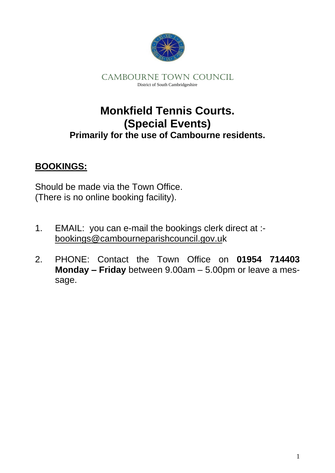

CAMBOURNE TOWN COUNCIL District of South Cambridgeshire

## **Monkfield Tennis Courts. (Special Events) Primarily for the use of Cambourne residents.**

### **BOOKINGS:**

Should be made via the Town Office. (There is no online booking facility).

- 1. EMAIL: you can e-mail the bookings clerk direct at : bookings@cambourneparishcouncil.gov.uk
- 2. PHONE: Contact the Town Office on **01954 714403 Monday – Friday** between 9.00am – 5.00pm or leave a message.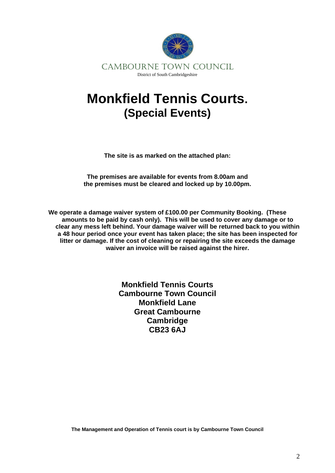

## **Monkfield Tennis Courts. (Special Events)**

**The site is as marked on the attached plan:**

**The premises are available for events from 8.00am and the premises must be cleared and locked up by 10.00pm.**

**We operate a damage waiver system of £100.00 per Community Booking. (These amounts to be paid by cash only). This will be used to cover any damage or to clear any mess left behind. Your damage waiver will be returned back to you within a 48 hour period once your event has taken place; the site has been inspected for litter or damage. If the cost of cleaning or repairing the site exceeds the damage waiver an invoice will be raised against the hirer.** 

> **Monkfield Tennis Courts Cambourne Town Council Monkfield Lane Great Cambourne Cambridge CB23 6AJ**

**The Management and Operation of Tennis court is by Cambourne Town Council**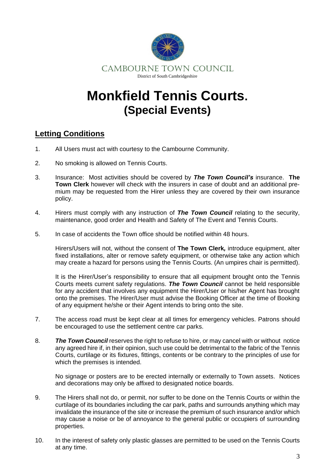

# **Monkfield Tennis Courts. (Special Events)**

#### **Letting Conditions**

- 1. All Users must act with courtesy to the Cambourne Community.
- 2. No smoking is allowed on Tennis Courts.
- 3. Insurance: Most activities should be covered by *The Town Council's* insurance. **The Town Clerk** however will check with the insurers in case of doubt and an additional premium may be requested from the Hirer unless they are covered by their own insurance policy.
- 4. Hirers must comply with any instruction of *The Town Council* relating to the security, maintenance, good order and Health and Safety of The Event and Tennis Courts.
- 5. In case of accidents the Town office should be notified within 48 hours.

Hirers/Users will not, without the consent of **The Town Clerk***,* introduce equipment, alter fixed installations, alter or remove safety equipment, or otherwise take any action which may create a hazard for persons using the Tennis Courts. (An umpires chair is permitted).

It is the Hirer/User's responsibility to ensure that all equipment brought onto the Tennis Courts meets current safety regulations. *The Town Council* cannot be held responsible for any accident that involves any equipment the Hirer/User or his/her Agent has brought onto the premises. The Hirer/User must advise the Booking Officer at the time of Booking of any equipment he/she or their Agent intends to bring onto the site.

- 7. The access road must be kept clear at all times for emergency vehicles. Patrons should be encouraged to use the settlement centre car parks.
- 8. *The Town Council* reserves the right to refuse to hire, or may cancel with or without notice any agreed hire if, in their opinion, such use could be detrimental to the fabric of the Tennis Courts, curtilage or its fixtures, fittings, contents or be contrary to the principles of use for which the premises is intended.

No signage or posters are to be erected internally or externally to Town assets. Notices and decorations may only be affixed to designated notice boards.

- 9. The Hirers shall not do, or permit, nor suffer to be done on the Tennis Courts or within the curtilage of its boundaries including the car park, paths and surrounds anything which may invalidate the insurance of the site or increase the premium of such insurance and/or which may cause a noise or be of annoyance to the general public or occupiers of surrounding properties.
- 10. In the interest of safety only plastic glasses are permitted to be used on the Tennis Courts at any time.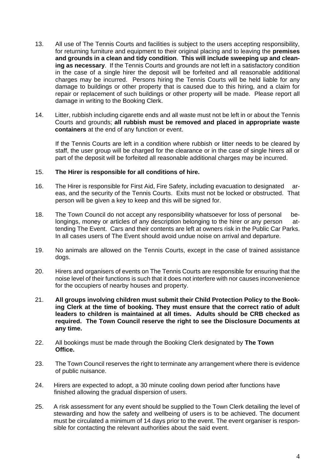- 13. All use of The Tennis Courts and facilities is subject to the users accepting responsibility, for returning furniture and equipment to their original placing and to leaving the **premises and grounds in a clean and tidy condition**. **This will include sweeping up and cleaning as necessary**. If the Tennis Courts and grounds are not left in a satisfactory condition in the case of a single hirer the deposit will be forfeited and all reasonable additional charges may be incurred. Persons hiring the Tennis Courts will be held liable for any damage to buildings or other property that is caused due to this hiring, and a claim for repair or replacement of such buildings or other property will be made. Please report all damage in writing to the Booking Clerk.
- 14. Litter, rubbish including cigarette ends and all waste must not be left in or about the Tennis Courts and grounds; **all rubbish must be removed and placed in appropriate waste containers** at the end of any function or event.

If the Tennis Courts are left in a condition where rubbish or litter needs to be cleared by staff, the user group will be charged for the clearance or in the case of single hirers all or part of the deposit will be forfeited all reasonable additional charges may be incurred.

#### 15. **The Hirer is responsible for all conditions of hire.**

- 16. The Hirer is responsible for First Aid, Fire Safety, including evacuation to designated areas, and the security of the Tennis Courts. Exits must not be locked or obstructed. That person will be given a key to keep and this will be signed for.
- 18. The Town Council do not accept any responsibility whatsoever for loss of personal belongings, money or articles of any description belonging to the hirer or any person attending The Event. Cars and their contents are left at owners risk in the Public Car Parks. In all cases users of The Event should avoid undue noise on arrival and departure.
- 19. No animals are allowed on the Tennis Courts, except in the case of trained assistance dogs.
- 20. Hirers and organisers of events on The Tennis Courts are responsible for ensuring that the noise level of their functions is such that it does not interfere with nor causes inconvenience for the occupiers of nearby houses and property.
- 21. **All groups involving children must submit their Child Protection Policy to the Booking Clerk at the time of booking. They must ensure that the correct ratio of adult leaders to children is maintained at all times. Adults should be CRB checked as required. The Town Council reserve the right to see the Disclosure Documents at any time.**
- 22. All bookings must be made through the Booking Clerk designated by **The Town Office.**
- 23. The Town Council reserves the right to terminate any arrangement where there is evidence of public nuisance.
- 24. Hirers are expected to adopt, a 30 minute cooling down period after functions have finished allowing the gradual dispersion of users.
- 25. A risk assessment for any event should be supplied to the Town Clerk detailing the level of stewarding and how the safety and wellbeing of users is to be achieved. The document must be circulated a minimum of 14 days prior to the event. The event organiser is responsible for contacting the relevant authorities about the said event.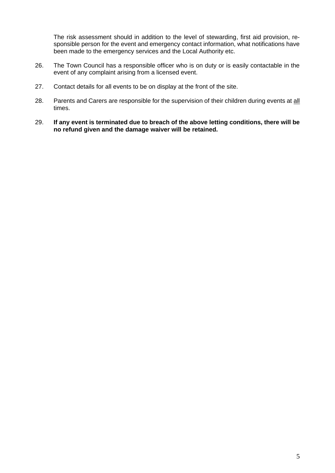The risk assessment should in addition to the level of stewarding, first aid provision, responsible person for the event and emergency contact information, what notifications have been made to the emergency services and the Local Authority etc.

- 26. The Town Council has a responsible officer who is on duty or is easily contactable in the event of any complaint arising from a licensed event.
- 27. Contact details for all events to be on display at the front of the site.
- 28. Parents and Carers are responsible for the supervision of their children during events at all times.
- 29. **If any event is terminated due to breach of the above letting conditions, there will be no refund given and the damage waiver will be retained.**